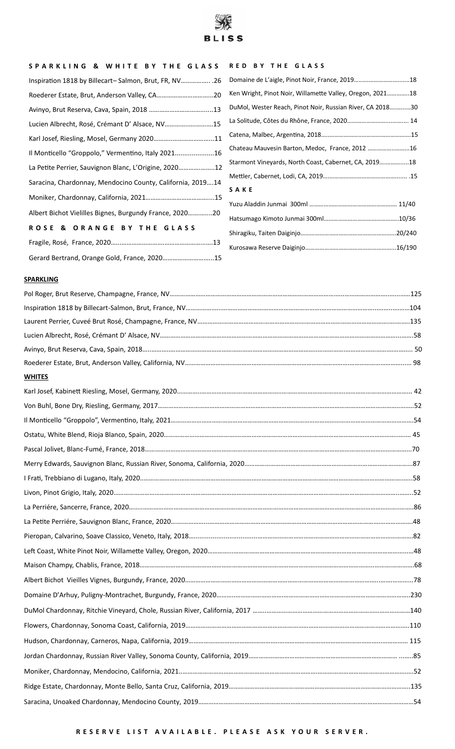

#### **S P A R K L I N G & W H I T E B Y T H E G L A S S R E D B Y T H E G L A S S**

| Inspiration 1818 by Billecart-Salmon, Brut, FR, NV 26      | Domaine de L'aigle, Pinot Noir, France, 201918            |
|------------------------------------------------------------|-----------------------------------------------------------|
|                                                            | Ken Wright, Pinot Noir, Willamette Valley, Oregon, 202118 |
|                                                            | DuMol, Wester Reach, Pinot Noir, Russian River, CA 201830 |
| Lucien Albrecht, Rosé, Crémant D' Alsace, NV15             |                                                           |
|                                                            |                                                           |
| Il Monticello "Groppolo," Vermentino, Italy 202116         | Chateau Mauvesin Barton, Medoc, France, 2012 16           |
| La Petite Perrier, Sauvignon Blanc, L'Origine, 202012      | Starmont Vineyards, North Coast, Cabernet, CA, 201918     |
| Saracina, Chardonnay, Mendocino County, California, 201914 | SAKE                                                      |
|                                                            |                                                           |
| Albert Bichot Vielilles Bignes, Burgundy France, 202020    |                                                           |
| ROSE & ORANGE BY THE GLASS                                 |                                                           |
|                                                            |                                                           |
|                                                            |                                                           |

| Domaine de L'aigle, Pinot Noir, France, 201918            |
|-----------------------------------------------------------|
| Ken Wright, Pinot Noir, Willamette Valley, Oregon, 202118 |
| DuMol, Wester Reach, Pinot Noir, Russian River, CA 201830 |
|                                                           |
|                                                           |
| Chateau Mauvesin Barton, Medoc, France, 2012 16           |
| Starmont Vineyards, North Coast, Cabernet, CA, 201918     |
|                                                           |
| SAKE                                                      |
|                                                           |
|                                                           |
|                                                           |

#### **SPARKLING**

| <b>WHITES</b> |  |
|---------------|--|
|               |  |
|               |  |
|               |  |
|               |  |
|               |  |
|               |  |
|               |  |
|               |  |
|               |  |
|               |  |
|               |  |
|               |  |
|               |  |
|               |  |
|               |  |
|               |  |
|               |  |
|               |  |
|               |  |
|               |  |
|               |  |
|               |  |
|               |  |

### **R E S E R V E L I S T A V A I L A B L E . P L E A S E A S K Y O U R S E R V E R .**